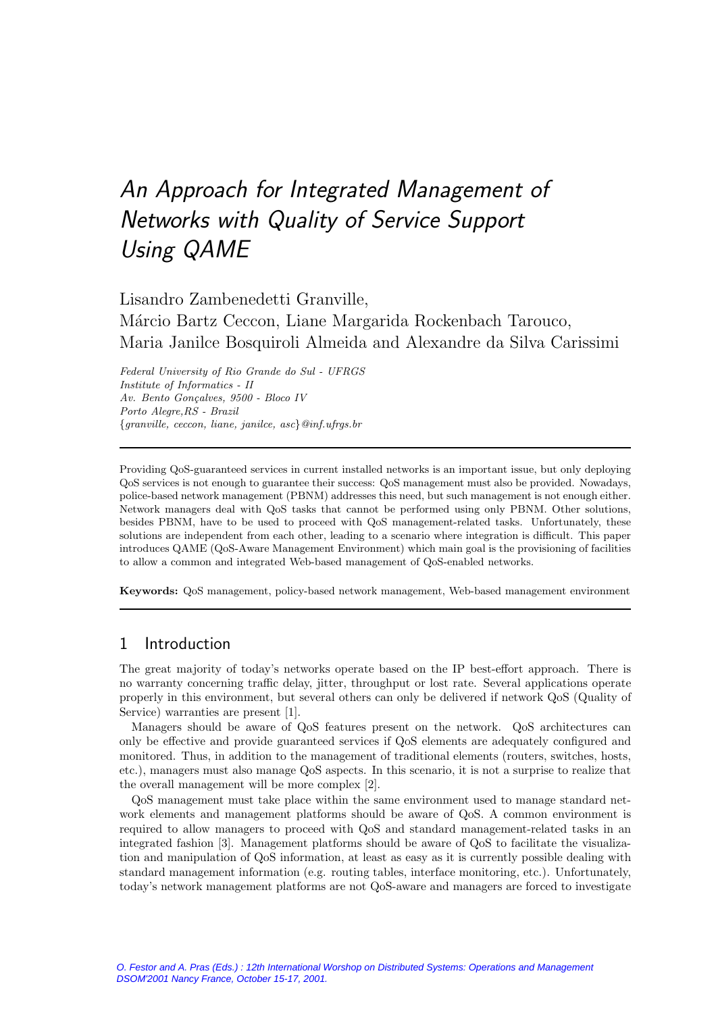# An Approach for Integrated Management of Networks with Quality of Service Support Using QAME

Lisandro Zambenedetti Granville,

Márcio Bartz Ceccon, Liane Margarida Rockenbach Tarouco, Maria Janilce Bosquiroli Almeida and Alexandre da Silva Carissimi

Federal University of Rio Grande do Sul - UFRGS Institute of Informatics - II Av. Bento Gonçalves, 9500 - Bloco IV Porto Alegre,RS - Brazil  ${q}$ ranville, ceccon, liane, janilce, asc ${q}$ @inf.ufrgs.br

Providing QoS-guaranteed services in current installed networks is an important issue, but only deploying QoS services is not enough to guarantee their success: QoS management must also be provided. Nowadays, police-based network management (PBNM) addresses this need, but such management is not enough either. Network managers deal with QoS tasks that cannot be performed using only PBNM. Other solutions, besides PBNM, have to be used to proceed with QoS management-related tasks. Unfortunately, these solutions are independent from each other, leading to a scenario where integration is difficult. This paper introduces QAME (QoS-Aware Management Environment) which main goal is the provisioning of facilities to allow a common and integrated Web-based management of QoS-enabled networks.

**Keywords:** QoS management, policy-based network management, Web-based management environment

# 1 Introduction

The great majority of today's networks operate based on the IP best-effort approach. There is no warranty concerning traffic delay, jitter, throughput or lost rate. Several applications operate properly in this environment, but several others can only be delivered if network QoS(Quality of Service) warranties are present [1].

Managers should be aware of QoS features present on the network. QoS architectures can only be effective and provide guaranteed services if QoS elements are adequately configured and monitored. Thus, in addition to the management of traditional elements (routers, switches, hosts, etc.), managers must also manage QoS aspects. In this scenario, it is not a surprise to realize that the overall management will be more complex [2].

QoSmanagement must take place within the same environment used to manage standard network elements and management platforms should be aware of QoS. A common environment is required to allow managers to proceed with QoS and standard management-related tasks in an integrated fashion [3]. Management platforms should be aware of QoS to facilitate the visualization and manipulation of QoS information, at least as easy as it is currently possible dealing with standard management information (e.g. routing tables, interface monitoring, etc.). Unfortunately, today's network management platforms are not QoS-aware and managers are forced to investigate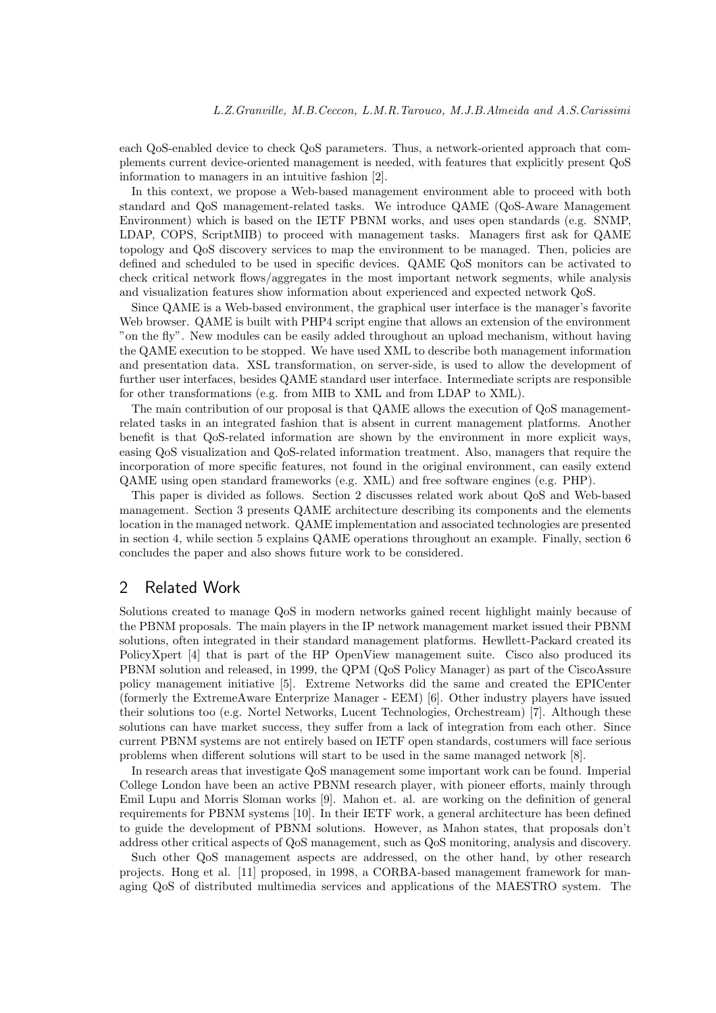each QoS-enabled device to check QoS parameters. Thus, a network-oriented approach that complements current device-oriented management is needed, with features that explicitly present QoS information to managers in an intuitive fashion [2].

In this context, we propose a Web-based management environment able to proceed with both standard and QoSmanagement-related tasks. We introduce QAME (QoS-Aware Management Environment) which is based on the IETF PBNM works, and uses open standards (e.g. SNMP, LDAP, COPS, ScriptMIB) to proceed with management tasks. Managers first ask for QAME topology and QoS discovery services to map the environment to be managed. Then, policies are defined and scheduled to be used in specific devices. QAME QoS monitors can be activated to check critical network flows/aggregates in the most important network segments, while analysis and visualization features show information about experienced and expected network QoS.

Since QAME is a Web-based environment, the graphical user interface is the manager's favorite Web browser. QAME is built with PHP4 script engine that allows an extension of the environment "on the fly". New modules can be easily added throughout an upload mechanism, without having the QAME execution to be stopped. We have used XML to describe both management information and presentation data. XSL transformation, on server-side, is used to allow the development of further user interfaces, besides QAME standard user interface. Intermediate scripts are responsible for other transformations (e.g. from MIB to XML and from LDAP to XML).

The main contribution of our proposal is that QAME allows the execution of QoS managementrelated tasks in an integrated fashion that is absent in current management platforms. Another benefit is that QoS-related information are shown by the environment in more explicit ways, easing QoS visualization and QoS-related information treatment. Also, managers that require the incorporation of more specific features, not found in the original environment, can easily extend QAME using open standard frameworks (e.g. XML) and free software engines (e.g. PHP).

This paper is divided as follows. Section 2 discusses related work about QoS and Web-based management. Section 3 presents QAME architecture describing its components and the elements location in the managed network. QAME implementation and associated technologies are presented in section 4, while section 5 explains QAME operations throughout an example. Finally, section 6 concludes the paper and also shows future work to be considered.

# 2 Related Work

Solutions created to manage QoS in modern networks gained recent highlight mainly because of the PBNM proposals. The main players in the IP network management market issued their PBNM solutions, often integrated in their standard management platforms. Hewllett-Packard created its PolicyXpert [4] that is part of the HP OpenView management suite. Cisco also produced its PBNM solution and released, in 1999, the QPM (QoS Policy Manager) as part of the CiscoAssure policy management initiative [5]. Extreme Networks did the same and created the EPICenter (formerly the ExtremeAware Enterprize Manager - EEM) [6]. Other industry players have issued their solutions too (e.g. Nortel Networks, Lucent Technologies, Orchestream) [7]. Although these solutions can have market success, they suffer from a lack of integration from each other. Since current PBNM systems are not entirely based on IETF open standards, costumers will face serious problems when different solutions will start to be used in the same managed network [8].

In research areas that investigate QoSmanagement some important work can be found. Imperial College London have been an active PBNM research player, with pioneer efforts, mainly through Emil Lupu and Morris Sloman works [9]. Mahon et. al. are working on the definition of general requirements for PBNM systems [10]. In their IETF work, a general architecture has been defined to guide the development of PBNM solutions. However, as Mahon states, that proposals don't address other critical aspects of QoS management, such as QoS monitoring, analysis and discovery.

Such other QoS management aspects are addressed, on the other hand, by other research projects. Hong et al. [11] proposed, in 1998, a CORBA-based management framework for managing QoS of distributed multimedia services and applications of the MAESTRO system. The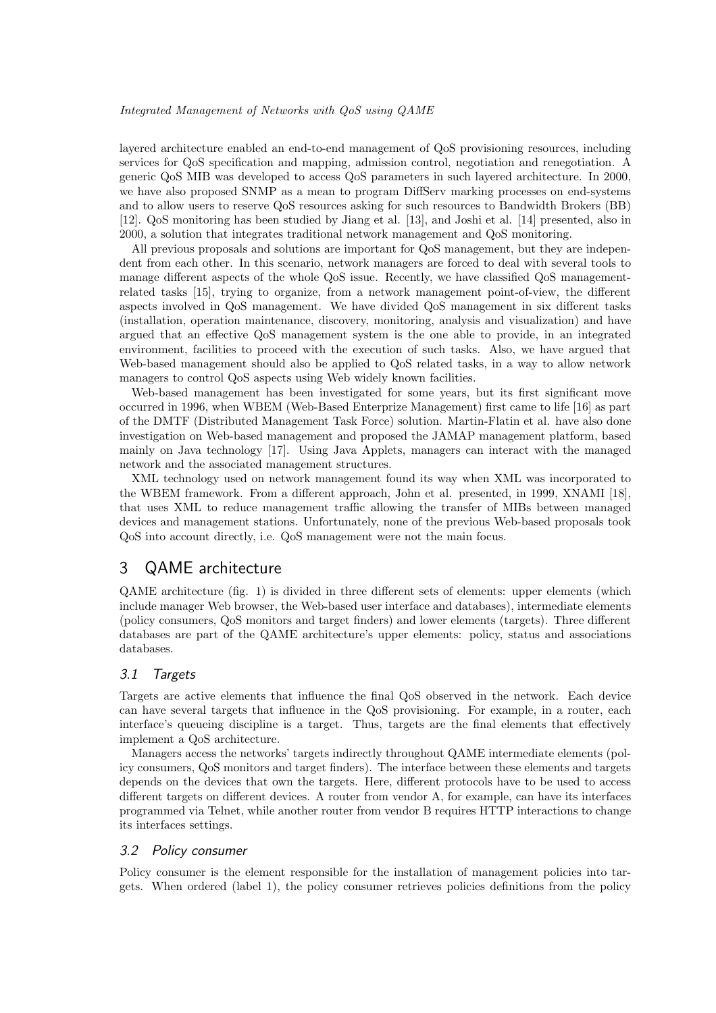layered architecture enabled an end-to-end management of QoS provisioning resources, including services for QoS specification and mapping, admission control, negotiation and renegotiation. A generic QoS MIB was developed to access QoS parameters in such layered architecture. In 2000, we have also proposed SNMP as a mean to program DiffServ marking processes on end-systems and to allow users to reserve OoS resources asking for such resources to Bandwidth Brokers (BB) [12]. QoSmonitoring has been studied by Jiang et al. [13], and Joshi et al. [14] presented, also in 2000, a solution that integrates traditional network management and QoS monitoring.

All previous proposals and solutions are important for QoS management, but they are independent from each other. In this scenario, network managers are forced to deal with several tools to manage different aspects of the whole QoS issue. Recently, we have classified QoS managementrelated tasks [15], trying to organize, from a network management point-of-view, the different aspects involved in QoSmanagement. We have divided QoSmanagement in six different tasks (installation, operation maintenance, discovery, monitoring, analysis and visualization) and have argued that an effective QoSmanagement system is the one able to provide, in an integrated environment, facilities to proceed with the execution of such tasks. Also, we have argued that Web-based management should also be applied to QoS related tasks, in a way to allow network managers to control QoS aspects using Web widely known facilities.

Web-based management has been investigated for some years, but its first significant move occurred in 1996, when WBEM (Web-Based Enterprize Management) first came to life [16] as part of the DMTF (Distributed Management Task Force) solution. Martin-Flatin et al. have also done investigation on Web-based management and proposed the JAMAP management platform, based mainly on Java technology [17]. Using Java Applets, managers can interact with the managed network and the associated management structures.

XML technology used on network management found its way when XML was incorporated to the WBEM framework. From a different approach, John et al. presented, in 1999, XNAMI [18], that uses XML to reduce management traffic allowing the transfer of MIBs between managed devices and management stations. Unfortunately, none of the previous Web-based proposals took QoS into account directly, i.e. QoS management were not the main focus.

# 3 QAME architecture

QAME architecture (fig. 1) is divided in three different sets of elements: upper elements (which include manager Web browser, the Web-based user interface and databases), intermediate elements (policy consumers, QoSmonitors and target finders) and lower elements (targets). Three different databases are part of the QAME architecture's upper elements: policy, status and associations databases.

### 3.1 Targets

Targets are active elements that influence the final QoS observed in the network. Each device can have several targets that influence in the QoS provisioning. For example, in a router, each interface's queueing discipline is a target. Thus, targets are the final elements that effectively implement a QoS architecture.

Managers access the networks' targets indirectly throughout QAME intermediate elements (policy consumers, QoS monitors and target finders). The interface between these elements and targets depends on the devices that own the targets. Here, different protocols have to be used to access different targets on different devices. A router from vendor A, for example, can have its interfaces programmed via Telnet, while another router from vendor B requires HTTP interactions to change its interfaces settings.

### 3.2 Policy consumer

Policy consumer is the element responsible for the installation of management policies into targets. When ordered (label 1), the policy consumer retrieves policies definitions from the policy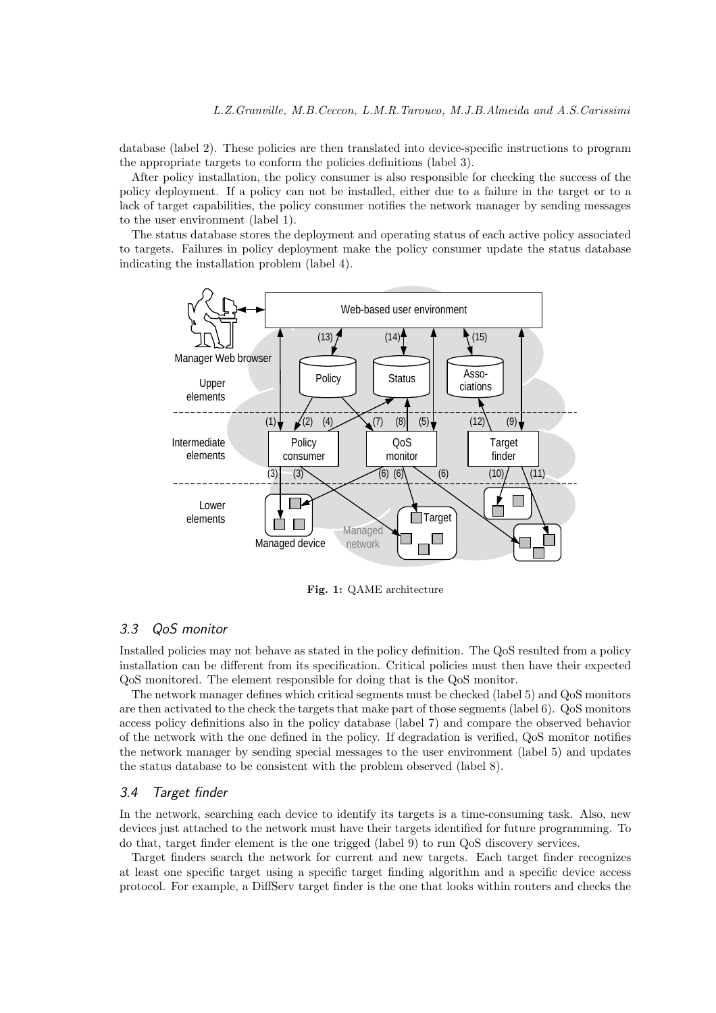database (label 2). These policies are then translated into device-specific instructions to program the appropriate targets to conform the policies definitions (label 3).

After policy installation, the policy consumer is also responsible for checking the success of the policy deployment. If a policy can not be installed, either due to a failure in the target or to a lack of target capabilities, the policy consumer notifies the network manager by sending messages to the user environment (label 1).

The status database stores the deployment and operating status of each active policy associated to targets. Failures in policy deployment make the policy consumer update the status database indicating the installation problem (label 4).



**Fig. 1:** QAME architecture

# 3.3 QoS monitor

Installed policies may not behave as stated in the policy definition. The QoSresulted from a policy installation can be different from its specification. Critical policies must then have their expected QoS monitored. The element responsible for doing that is the QoS monitor.

The network manager defines which critical segments must be checked (label 5) and QoSmonitors are then activated to the check the targets that make part of those segments (label 6). QoS monitors access policy definitions also in the policy database (label 7) and compare the observed behavior of the network with the one defined in the policy. If degradation is verified, QoSmonitor notifies the network manager by sending special messages to the user environment (label 5) and updates the status database to be consistent with the problem observed (label 8).

### 3.4 Target finder

In the network, searching each device to identify its targets is a time-consuming task. Also, new devices just attached to the network must have their targets identified for future programming. To do that, target finder element is the one trigged (label  $9$ ) to run QoS discovery services.

Target finders search the network for current and new targets. Each target finder recognizes at least one specific target using a specific target finding algorithm and a specific device access protocol. For example, a DiffServ target finder is the one that looks within routers and checks the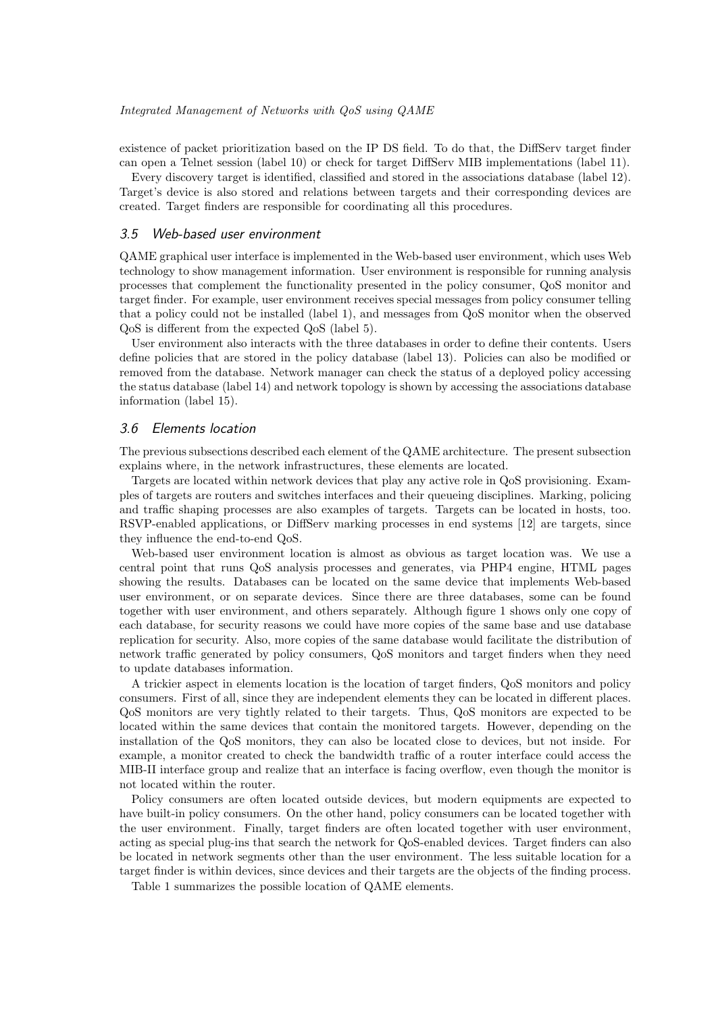existence of packet prioritization based on the IP DSfield. To do that, the DiffServ target finder can open a Telnet session (label 10) or check for target DiffServ MIB implementations (label 11).

Every discovery target is identified, classified and stored in the associations database (label 12). Target's device is also stored and relations between targets and their corresponding devices are created. Target finders are responsible for coordinating all this procedures.

### 3.5 Web-based user environment

QAME graphical user interface is implemented in the Web-based user environment, which uses Web technology to show management information. User environment is responsible for running analysis processes that complement the functionality presented in the policy consumer, QoSmonitor and target finder. For example, user environment receives special messages from policy consumer telling that a policy could not be installed (label 1), and messages from QoS monitor when the observed QoS is different from the expected QoS (label 5).

User environment also interacts with the three databases in order to define their contents. Users define policies that are stored in the policy database (label 13). Policies can also be modified or removed from the database. Network manager can check the status of a deployed policy accessing the status database (label 14) and network topology is shown by accessing the associations database information (label 15).

### 3.6 Elements location

The previous subsections described each element of the QAME architecture. The present subsection explains where, in the network infrastructures, these elements are located.

Targets are located within network devices that play any active role in QoS provisioning. Examples of targets are routers and switches interfaces and their queueing disciplines. Marking, policing and traffic shaping processes are also examples of targets. Targets can be located in hosts, too. RSVP-enabled applications, or DiffServ marking processes in end systems [12] are targets, since they influence the end-to-end QoS.

Web-based user environment location is almost as obvious as target location was. We use a central point that runs QoS analysis processes and generates, via PHP4 engine, HTML pages showing the results. Databases can be located on the same device that implements Web-based user environment, or on separate devices. Since there are three databases, some can be found together with user environment, and others separately. Although figure 1 shows only one copy of each database, for security reasons we could have more copies of the same base and use database replication for security. Also, more copies of the same database would facilitate the distribution of network traffic generated by policy consumers, QoS monitors and target finders when they need to update databases information.

A trickier aspect in elements location is the location of target finders, QoSmonitors and policy consumers. First of all, since they are independent elements they can be located in different places. QoSmonitors are very tightly related to their targets. Thus, QoSmonitors are expected to be located within the same devices that contain the monitored targets. However, depending on the installation of the QoS monitors, they can also be located close to devices, but not inside. For example, a monitor created to check the bandwidth traffic of a router interface could access the MIB-II interface group and realize that an interface is facing overflow, even though the monitor is not located within the router.

Policy consumers are often located outside devices, but modern equipments are expected to have built-in policy consumers. On the other hand, policy consumers can be located together with the user environment. Finally, target finders are often located together with user environment, acting as special plug-ins that search the network for QoS-enabled devices. Target finders can also be located in network segments other than the user environment. The less suitable location for a target finder is within devices, since devices and their targets are the objects of the finding process.

Table 1 summarizes the possible location of QAME elements.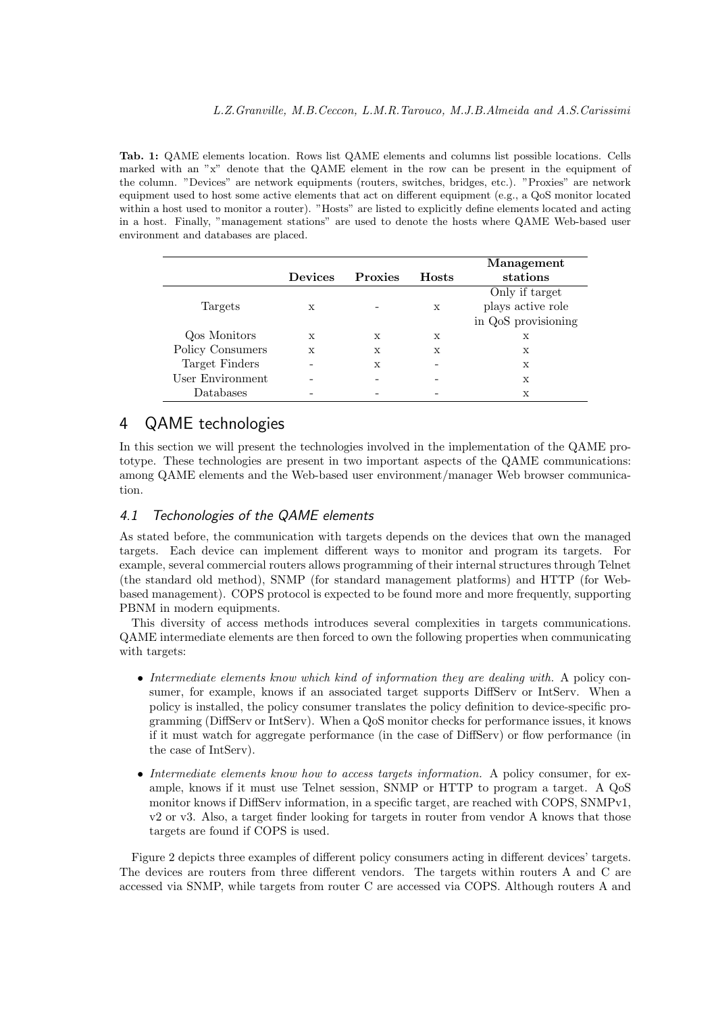**Tab. 1:** QAME elements location. Rows list QAME elements and columns list possible locations. Cells marked with an "x" denote that the QAME element in the row can be present in the equipment of the column. "Devices" are network equipments (routers, switches, bridges, etc.). "Proxies" are network equipment used to host some active elements that act on different equipment (e.g., a QoS monitor located within a host used to monitor a router). "Hosts" are listed to explicitly define elements located and acting in a host. Finally, "management stations" are used to denote the hosts where QAME Web-based user environment and databases are placed.

|                  | <b>Devices</b> | <b>Proxies</b> | <b>Hosts</b> | Management<br>stations |
|------------------|----------------|----------------|--------------|------------------------|
|                  |                |                |              | Only if target         |
| Targets          | X              |                | X            | plays active role      |
|                  |                |                |              | in QoS provisioning    |
| Qos Monitors     | X              | X              | X            | $\mathbf x$            |
| Policy Consumers | X              | X              | X            | X                      |
| Target Finders   |                | X              |              | X                      |
| User Environment |                |                |              | X                      |
| Databases        |                |                |              | $\mathbf x$            |

# 4 QAME technologies

In this section we will present the technologies involved in the implementation of the QAME prototype. These technologies are present in two important aspects of the QAME communications: among QAME elements and the Web-based user environment/manager Web browser communication.

### 4.1 Techonologies of the QAME elements

As stated before, the communication with targets depends on the devices that own the managed targets. Each device can implement different ways to monitor and program its targets. For example, several commercial routers allows programming of their internal structures through Telnet (the standard old method), SNMP (for standard management platforms) and HTTP (for Webbased management). COPS protocol is expected to be found more and more frequently, supporting PBNM in modern equipments.

This diversity of access methods introduces several complexities in targets communications. QAME intermediate elements are then forced to own the following properties when communicating with targets:

- *• Intermediate elements know which kind of information they are dealing with.* A policy consumer, for example, knows if an associated target supports DiffServ or IntServ. When a policy is installed, the policy consumer translates the policy definition to device-specific programming (DiffServ or IntServ). When a QoS monitor checks for performance issues, it knows if it must watch for aggregate performance (in the case of DiffServ) or flow performance (in the case of IntServ).
- *Intermediate elements know how to access targets information.* A policy consumer, for example, knows if it must use Telnet session, SNMP or HTTP to program a target. A QoS monitor knows if DiffServ information, in a specific target, are reached with COPS, SNMPv1, v2 or v3. Also, a target finder looking for targets in router from vendor A knows that those targets are found if COPS is used.

Figure 2 depicts three examples of different policy consumers acting in different devices' targets. The devices are routers from three different vendors. The targets within routers A and C are accessed via SNMP, while targets from router C are accessed via COPS. Although routers A and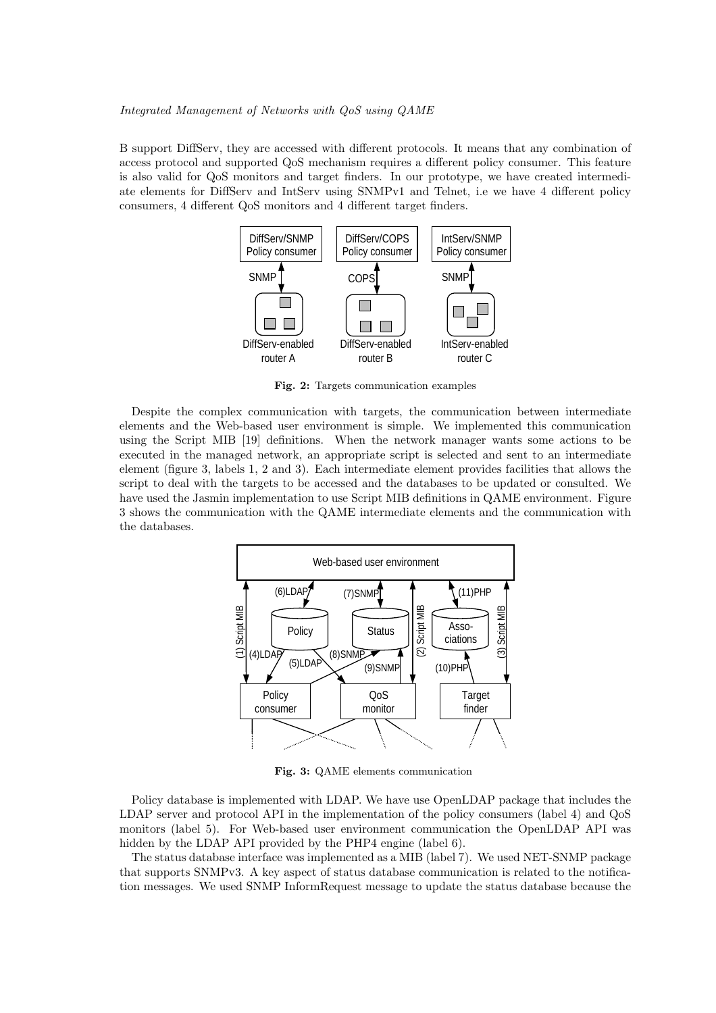#### *Integrated Management of Networks with QoS using QAME*

B support DiffServ, they are accessed with different protocols. It means that any combination of access protocol and supported QoS mechanism requires a different policy consumer. This feature is also valid for QoS monitors and target finders. In our prototype, we have created intermediate elements for DiffServ and IntServ using SNMPv1 and Telnet, i.e we have 4 different policy consumers, 4 different  $\cos$  monitors and 4 different target finders.



**Fig. 2:** Targets communication examples

Despite the complex communication with targets, the communication between intermediate elements and the Web-based user environment is simple. We implemented this communication using the Script MIB [19] definitions. When the network manager wants some actions to be executed in the managed network, an appropriate script is selected and sent to an intermediate element (figure 3, labels 1, 2 and 3). Each intermediate element provides facilities that allows the script to deal with the targets to be accessed and the databases to be updated or consulted. We have used the Jasmin implementation to use Script MIB definitions in QAME environment. Figure 3 shows the communication with the QAME intermediate elements and the communication with the databases.



**Fig. 3:** QAME elements communication

Policy database is implemented with LDAP. We have use OpenLDAP package that includes the LDAP server and protocol API in the implementation of the policy consumers (label 4) and QoS monitors (label 5). For Web-based user environment communication the OpenLDAP API was hidden by the LDAP API provided by the PHP4 engine (label 6).

The status database interface was implemented as a MIB (label 7). We used NET-SNMP package that supports SNMPv3. A key aspect of status database communication is related to the notification messages. We used SNMP InformRequest message to update the status database because the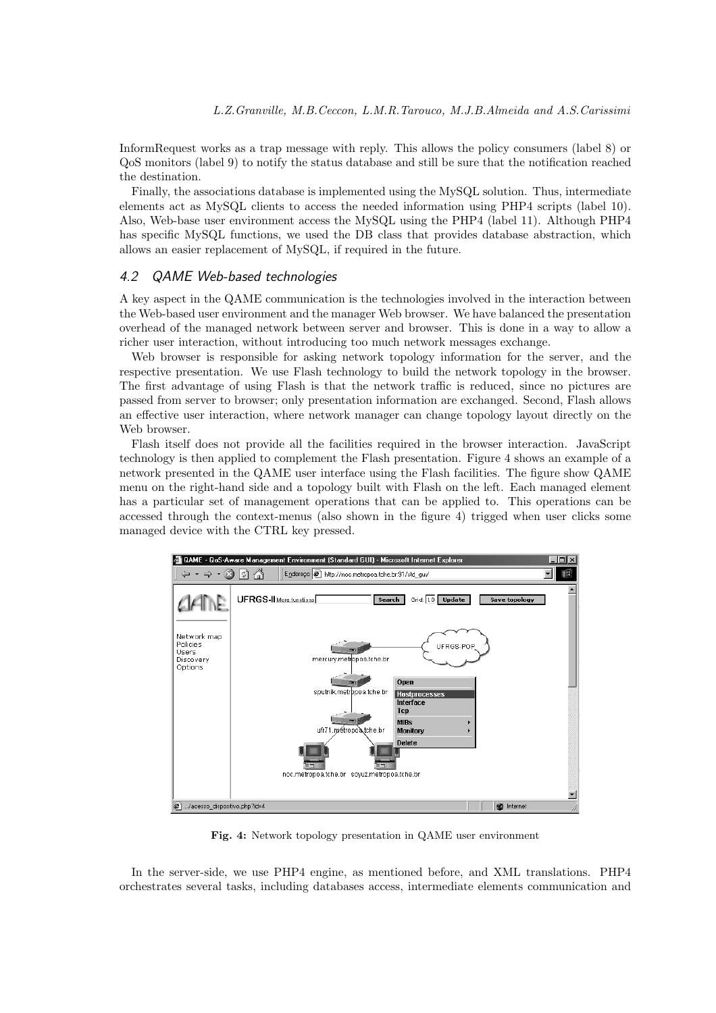InformRequest works as a trap message with reply. This allows the policy consumers (label 8) or QoSmonitors (label 9) to notify the status database and still be sure that the notification reached the destination.

Finally, the associations database is implemented using the MySQL solution. Thus, intermediate elements act as MySQL clients to access the needed information using PHP4 scripts (label 10). Also, Web-base user environment access the MySQL using the PHP4 (label 11). Although PHP4 has specific MySQL functions, we used the DB class that provides database abstraction, which allows an easier replacement of MySQL, if required in the future.

### 4.2 QAME Web-based technologies

A key aspect in the QAME communication is the technologies involved in the interaction between the Web-based user environment and the manager Web browser. We have balanced the presentation overhead of the managed network between server and browser. This is done in a way to allow a richer user interaction, without introducing too much network messages exchange.

Web browser is responsible for asking network topology information for the server, and the respective presentation. We use Flash technology to build the network topology in the browser. The first advantage of using Flash is that the network traffic is reduced, since no pictures are passed from server to browser; only presentation information are exchanged. Second, Flash allows an effective user interaction, where network manager can change topology layout directly on the Web browser.

Flash itself does not provide all the facilities required in the browser interaction. JavaScript technology is then applied to complement the Flash presentation. Figure 4 shows an example of a network presented in the QAME user interface using the Flash facilities. The figure show QAME menu on the right-hand side and a topology built with Flash on the left. Each managed element has a particular set of management operations that can be applied to. This operations can be accessed through the context-menus (also shown in the figure 4) trigged when user clicks some managed device with the CTRL key pressed.



**Fig. 4:** Network topology presentation in QAME user environment

In the server-side, we use PHP4 engine, as mentioned before, and XML translations. PHP4 orchestrates several tasks, including databases access, intermediate elements communication and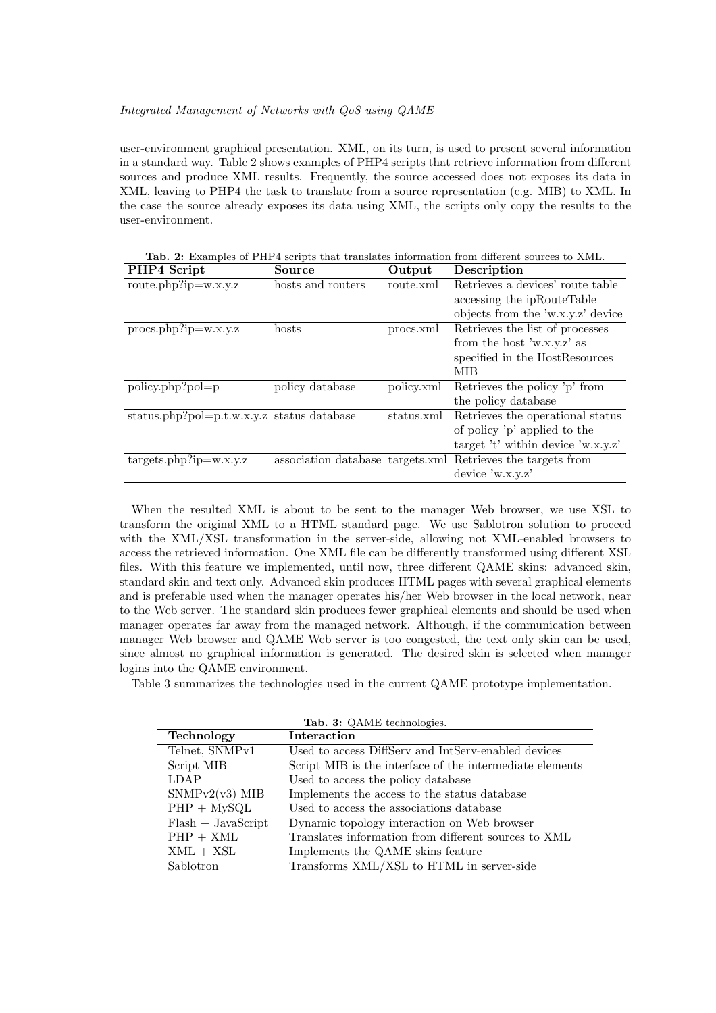### *Integrated Management of Networks with QoS using QAME*

user-environment graphical presentation. XML, on its turn, is used to present several information in a standard way. Table 2 shows examples of PHP4 scripts that retrieve information from different sources and produce XML results. Frequently, the source accessed does not exposes its data in XML, leaving to PHP4 the task to translate from a source representation (e.g. MIB) to XML. In the case the source already exposes its data using XML, the scripts only copy the results to the user-environment.

**Tab. 2:** Examples of PHP4 scripts that translates information from different sources to XML.

| PHP4 Script                                | Source            | Output     | Description                                                 |
|--------------------------------------------|-------------------|------------|-------------------------------------------------------------|
| $route.php?ip=w.x.y.z$                     | hosts and routers | route.xml  | Retrieves a devices' route table                            |
|                                            |                   |            | accessing the ipRouteTable                                  |
|                                            |                   |            | objects from the 'w.x.y.z' device                           |
| $\text{procs.php?ip}=w.x.y.z$              | hosts             | procs.xml  | Retrieves the list of processes                             |
|                                            |                   |            | from the host 'w.x.y.z' as                                  |
|                                            |                   |            | specified in the HostResources                              |
|                                            |                   |            | MIB                                                         |
| $policy.php?pol=p$                         | policy database   | policy.xml | Retrieves the policy 'p' from                               |
|                                            |                   |            | the policy database                                         |
| status.php?pol=p.t.w.x.y.z status database |                   | status.xml | Retrieves the operational status                            |
|                                            |                   |            | of policy 'p' applied to the                                |
|                                            |                   |            | target 't' within device 'w.x.y.z'                          |
| $targets.php?ip=w.x.y.z$                   |                   |            | association database targets.xml Retrieves the targets from |
|                                            |                   |            | device 'w.x.y.z'                                            |
|                                            |                   |            |                                                             |

When the resulted XML is about to be sent to the manager Web browser, we use XSL to transform the original XML to a HTML standard page. We use Sablotron solution to proceed with the XML/XSL transformation in the server-side, allowing not XML-enabled browsers to access the retrieved information. One XML file can be differently transformed using different XSL files. With this feature we implemented, until now, three different QAME skins: advanced skin, standard skin and text only. Advanced skin produces HTML pages with several graphical elements and is preferable used when the manager operates his/her Web browser in the local network, near to the Web server. The standard skin produces fewer graphical elements and should be used when manager operates far away from the managed network. Although, if the communication between manager Web browser and QAME Web server is too congested, the text only skin can be used, since almost no graphical information is generated. The desired skin is selected when manager logins into the QAME environment.

Table 3 summarizes the technologies used in the current QAME prototype implementation.

| Technology           | Interaction                                              |
|----------------------|----------------------------------------------------------|
| Telnet, SNMPv1       | Used to access DiffServ and IntServ-enabled devices      |
| Script MIB           | Script MIB is the interface of the intermediate elements |
| <b>LDAP</b>          | Used to access the policy database                       |
| $SNMPv2(v3)$ MIB     | Implements the access to the status database             |
| $PHP + MySQL$        | Used to access the associations database                 |
| $Flash + JavaScript$ | Dynamic topology interaction on Web browser              |
| $PHP + XML$          | Translates information from different sources to XML     |
| $XML + XSL$          | Implements the QAME skins feature                        |
| Sablotron            | Transforms XML/XSL to HTML in server-side                |

**Tab. 3:** QAME technologies.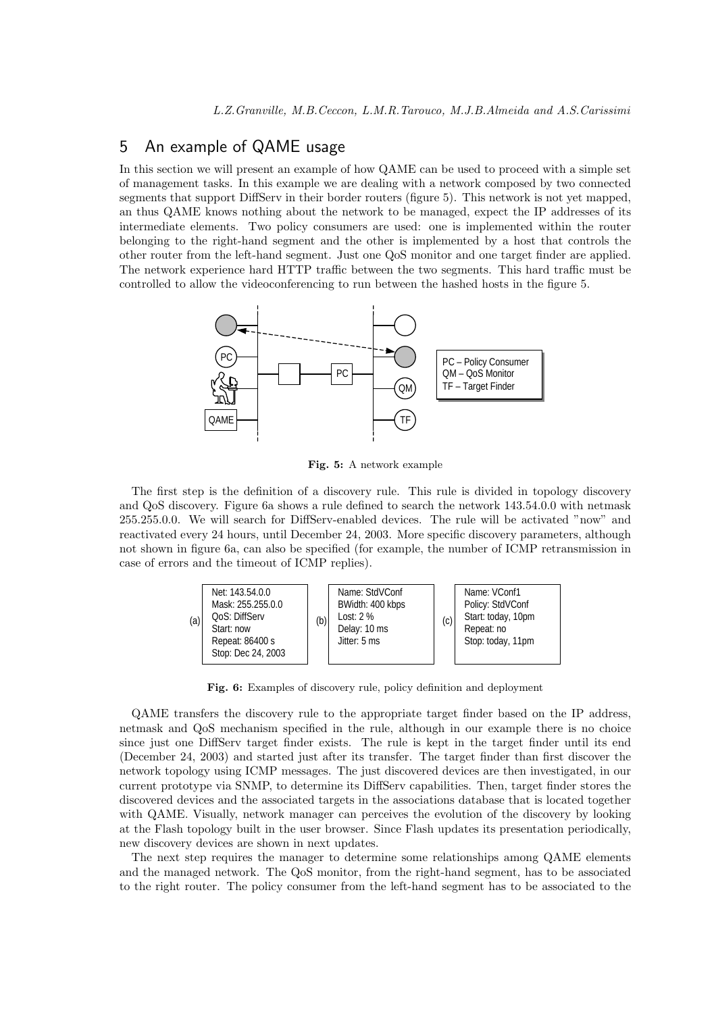# 5 An example of QAME usage

In this section we will present an example of how QAME can be used to proceed with a simple set of management tasks. In this example we are dealing with a network composed by two connected segments that support DiffServ in their border routers (figure 5). This network is not yet mapped, an thus QAME knows nothing about the network to be managed, expect the IP addresses of its intermediate elements. Two policy consumers are used: one is implemented within the router belonging to the right-hand segment and the other is implemented by a host that controls the other router from the left-hand segment. Just one QoSmonitor and one target finder are applied. The network experience hard HTTP traffic between the two segments. This hard traffic must be controlled to allow the videoconferencing to run between the hashed hosts in the figure 5.



**Fig. 5:** A network example

The first step is the definition of a discovery rule. This rule is divided in topology discovery and QoS discovery. Figure 6a shows a rule defined to search the network 143.54.0.0 with netmask 255.255.0.0. We will search for DiffServ-enabled devices. The rule will be activated "now" and reactivated every 24 hours, until December 24, 2003. More specific discovery parameters, although not shown in figure 6a, can also be specified (for example, the number of ICMP retransmission in case of errors and the timeout of ICMP replies).



**Fig. 6:** Examples of discovery rule, policy definition and deployment

QAME transfers the discovery rule to the appropriate target finder based on the IP address, netmask and QoS mechanism specified in the rule, although in our example there is no choice since just one DiffServ target finder exists. The rule is kept in the target finder until its end (December 24, 2003) and started just after its transfer. The target finder than first discover the network topology using ICMP messages. The just discovered devices are then investigated, in our current prototype via SNMP, to determine its DiffServ capabilities. Then, target finder stores the discovered devices and the associated targets in the associations database that is located together with QAME. Visually, network manager can perceives the evolution of the discovery by looking at the Flash topology built in the user browser. Since Flash updates its presentation periodically, new discovery devices are shown in next updates.

The next step requires the manager to determine some relationships among QAME elements and the managed network. The QoS monitor, from the right-hand segment, has to be associated to the right router. The policy consumer from the left-hand segment has to be associated to the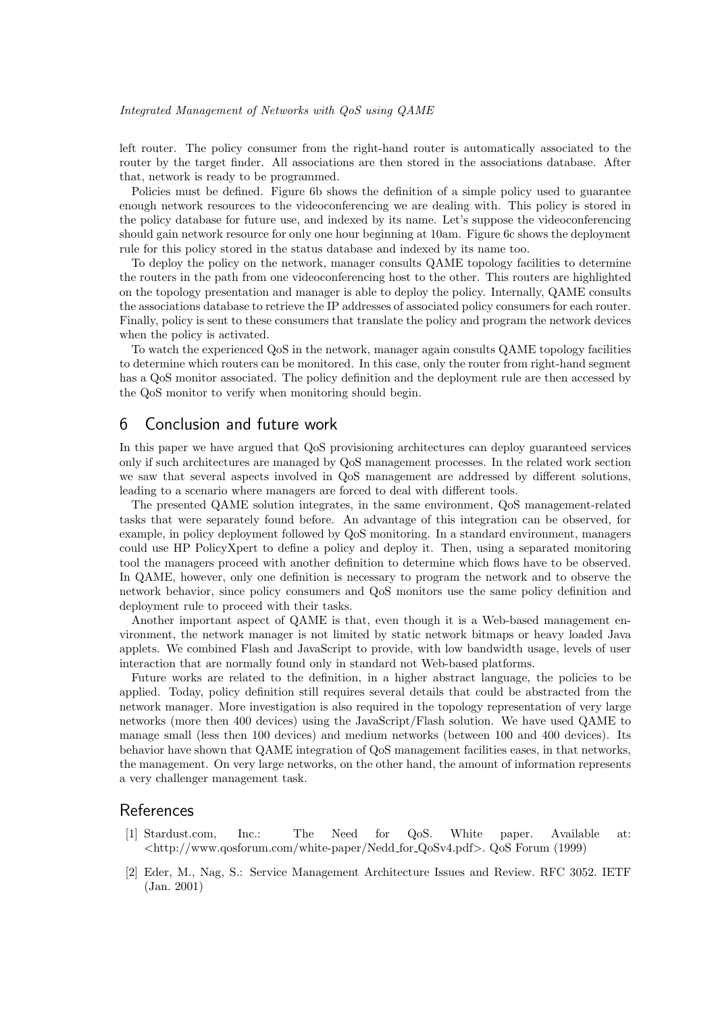#### *Integrated Management of Networks with QoS using QAME*

left router. The policy consumer from the right-hand router is automatically associated to the router by the target finder. All associations are then stored in the associations database. After that, network is ready to be programmed.

Policies must be defined. Figure 6b shows the definition of a simple policy used to guarantee enough network resources to the videoconferencing we are dealing with. This policy is stored in the policy database for future use, and indexed by its name. Let's suppose the videoconferencing should gain network resource for only one hour beginning at 10am. Figure 6c shows the deployment rule for this policy stored in the status database and indexed by its name too.

To deploy the policy on the network, manager consults QAME topology facilities to determine the routers in the path from one videoconferencing host to the other. This routers are highlighted on the topology presentation and manager is able to deploy the policy. Internally, QAME consults the associations database to retrieve the IP addresses of associated policy consumers for each router. Finally, policy is sent to these consumers that translate the policy and program the network devices when the policy is activated.

To watch the experienced QoS in the network, manager again consults QAME topology facilities to determine which routers can be monitored. In this case, only the router from right-hand segment has a QoS monitor associated. The policy definition and the deployment rule are then accessed by the QoS monitor to verify when monitoring should begin.

## 6Conclusion and future work

In this paper we have argued that QoS provisioning architectures can deploy guaranteed services only if such architectures are managed by QoSmanagement processes. In the related work section we saw that several aspects involved in QoS management are addressed by different solutions, leading to a scenario where managers are forced to deal with different tools.

The presented QAME solution integrates, in the same environment, QoS management-related tasks that were separately found before. An advantage of this integration can be observed, for example, in policy deployment followed by QoS monitoring. In a standard environment, managers could use HP PolicyXpert to define a policy and deploy it. Then, using a separated monitoring tool the managers proceed with another definition to determine which flows have to be observed. In QAME, however, only one definition is necessary to program the network and to observe the network behavior, since policy consumers and QoS monitors use the same policy definition and deployment rule to proceed with their tasks.

Another important aspect of QAME is that, even though it is a Web-based management environment, the network manager is not limited by static network bitmaps or heavy loaded Java applets. We combined Flash and JavaScript to provide, with low bandwidth usage, levels of user interaction that are normally found only in standard not Web-based platforms.

Future works are related to the definition, in a higher abstract language, the policies to be applied. Today, policy definition still requires several details that could be abstracted from the network manager. More investigation is also required in the topology representation of very large networks (more then 400 devices) using the JavaScript/Flash solution. We have used QAME to manage small (less then 100 devices) and medium networks (between 100 and 400 devices). Its behavior have shown that QAME integration of QoSmanagement facilities eases, in that networks, the management. On very large networks, on the other hand, the amount of information represents a very challenger management task.

# References

- [1] Stardust.com, Inc.: The Need for QoS. White paper. Available at: *<*http://www.qosforum.com/white-paper/Nedd for QoSv4.pdf*>*. QoSForum (1999)
- [2] Eder, M., Nag, S.: Service Management Architecture Issues and Review. RFC 3052. IETF (Jan. 2001)